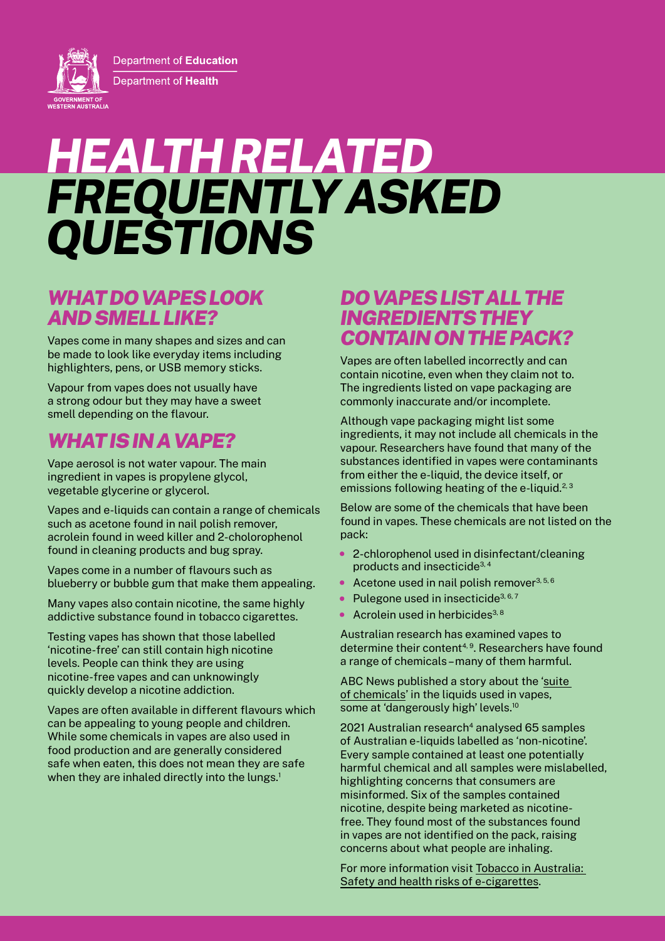Department of Education Department of Health

**GOVERNMENT OF**<br>WESTERN AUSTRALIA

# *HEALTH RELATED FREQUENTLY ASKED QUESTIONS*

#### *WHAT DO VAPES LOOK AND SMELL LIKE?*

Vapes come in many shapes and sizes and can be made to look like everyday items including highlighters, pens, or USB memory sticks.

Vapour from vapes does not usually have a strong odour but they may have a sweet smell depending on the flavour.

## *WHAT IS IN A VAPE?*

Vape aerosol is not water vapour. The main ingredient in vapes is propylene glycol, vegetable glycerine or glycerol.

Vapes and e-liquids can contain a range of chemicals such as acetone found in nail polish remover, acrolein found in weed killer and 2-cholorophenol found in cleaning products and bug spray.

Vapes come in a number of flavours such as blueberry or bubble gum that make them appealing.

Many vapes also contain nicotine, the same highly addictive substance found in tobacco cigarettes.

Testing vapes has shown that those labelled 'nicotine-free' can still contain high nicotine levels. People can think they are using nicotine-free vapes and can unknowingly quickly develop a nicotine addiction.

Vapes are often available in different flavours which can be appealing to young people and children. While some chemicals in vapes are also used in food production and are generally considered safe when eaten, this does not mean they are safe when they are inhaled directly into the lungs.<sup>1</sup>

#### *DO VAPES LIST ALL THE INGREDIENTS THEY CONTAIN ON THE PACK?*

Vapes are often labelled incorrectly and can contain nicotine, even when they claim not to. The ingredients listed on vape packaging are commonly inaccurate and/or incomplete.

Although vape packaging might list some ingredients, it may not include all chemicals in the vapour. Researchers have found that many of the substances identified in vapes were contaminants from either the e-liquid, the device itself, or emissions following heating of the e-liquid.<sup>2, 3</sup>

Below are some of the chemicals that have been found in vapes. These chemicals are not listed on the pack:

- 2-chlorophenol used in disinfectant/cleaning products and insecticide3, 4
- Acetone used in nail polish remover<sup>3,5,6</sup>
- Pulegone used in insecticide<sup>3, 6, 7</sup>
- Acrolein used in herbicides<sup>3, 8</sup>

Australian research has examined vapes to determine their content<sup>4, 9</sup>. Researchers have found a range of chemicals – many of them harmful.

ABC News published a story about the '[suite](https://www.abc.net.au/news/2021-10-11/chemicals-found-in-vaping-liquids/100525148)  [of chemicals](https://www.abc.net.au/news/2021-10-11/chemicals-found-in-vaping-liquids/100525148)' in the liquids used in vapes, some at 'dangerously high' levels.<sup>10</sup>

2021 Australian research<sup>4</sup> analysed 65 samples of Australian e-liquids labelled as 'non-nicotine'. Every sample contained at least one potentially harmful chemical and all samples were mislabelled, highlighting concerns that consumers are misinformed. Six of the samples contained nicotine, despite being marketed as nicotinefree. They found most of the substances found in vapes are not identified on the pack, raising concerns about what people are inhaling.

For more information visit [Tobacco in Australia:](https://www.tobaccoinaustralia.org.au/chapter-18-harm-reduction/indepth-18b-e-cigarettes/18b-5-safety#:~:text=Some%20chemicals%20present%20in%20e,exposure%20could%20increase%20cancer%20risk.&text=Small%20amounts%20of%20formaldehyde%20and,detected%20in%20e%2Dcigarette%20cartridges.)  [Safety and health risks of e-cigarettes](https://www.tobaccoinaustralia.org.au/chapter-18-harm-reduction/indepth-18b-e-cigarettes/18b-5-safety#:~:text=Some%20chemicals%20present%20in%20e,exposure%20could%20increase%20cancer%20risk.&text=Small%20amounts%20of%20formaldehyde%20and,detected%20in%20e%2Dcigarette%20cartridges.).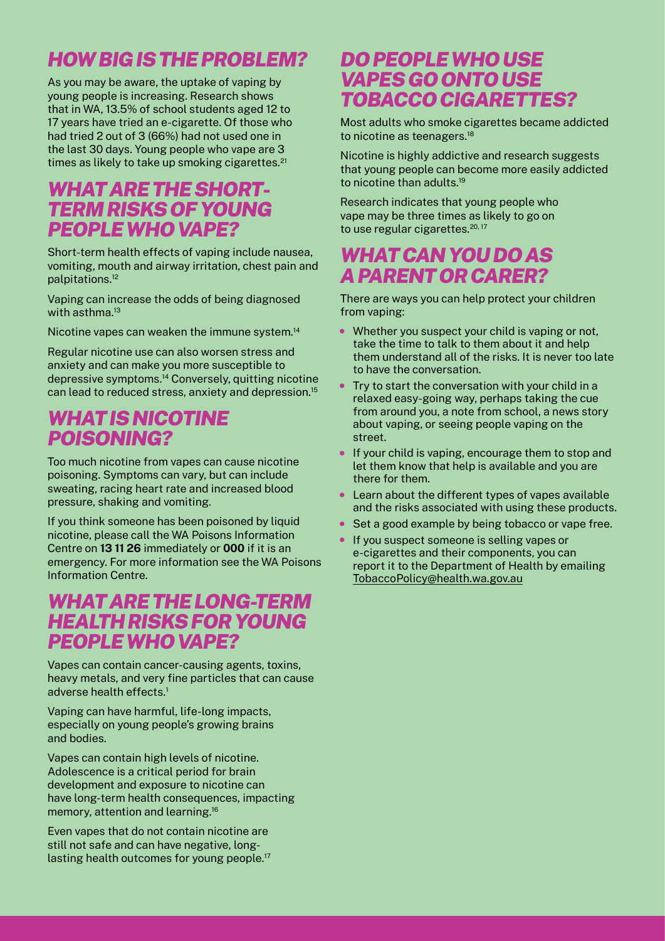# *HOW BIG IS THE PROBLEM?*

As you may be aware, the uptake of vaping by young people is increasing. Research shows that in WA, 13.5% of school students aged 12 to 17 years have tried an e-cigarette. Of those who had tried 2 out of 3 (66%) had not used one in the last 30 days. Young people who vape are 3 times as likely to take up smoking cigarettes.<sup>21</sup>

#### *WHAT ARE THE SHORT-TERM RISKS OF YOUNG PEOPLE WHO VAPE?*

Short-term health effects of vaping include nausea, vomiting, mouth and airway irritation, chest pain and palpitations.12

Vaping can increase the odds of being diagnosed with asthma.<sup>13</sup>

Nicotine vapes can weaken the immune system.14

Regular nicotine use can also worsen stress and anxiety and can make you more susceptible to depressive symptoms.14 Conversely, quitting nicotine can lead to reduced stress, anxiety and depression.15

## *WHAT IS NICOTINE POISONING?*

Too much nicotine from vapes can cause nicotine poisoning. Symptoms can vary, but can include sweating, racing heart rate and increased blood pressure, shaking and vomiting.

If you think someone has been poisoned by liquid nicotine, please call the WA Poisons Information Centre on **13 11 26** immediately or **000** if it is an emergency. For more information see the WA Poisons Information Centre.

#### *WHAT ARE THE LONG-TERM HEALTH RISKS FOR YOUNG PEOPLE WHO VAPE?*

Vapes can contain cancer-causing agents, toxins, heavy metals, and very fine particles that can cause adverse health effects.<sup>1</sup>

Vaping can have harmful, life-long impacts, especially on young people's growing brains and bodies.

Vapes can contain high levels of nicotine. Adolescence is a critical period for brain development and exposure to nicotine can have long-term health consequences, impacting memory, attention and learning.16

Even vapes that do not contain nicotine are still not safe and can have negative, longlasting health outcomes for young people.<sup>17</sup>

#### *DO PEOPLE WHO USE VAPES GO ONTO USE TOBACCO CIGARETTES?*

Most adults who smoke cigarettes became addicted to nicotine as teenagers.<sup>18</sup>

Nicotine is highly addictive and research suggests that young people can become more easily addicted to nicotine than adults.19

Research indicates that young people who vape may be three times as likely to go on to use regular cigarettes.20, 17

# *WHAT CAN YOU DO AS A PARENT OR CARER?*

There are ways you can help protect your children from vaping:

- Whether you suspect your child is vaping or not, take the time to talk to them about it and help them understand all of the risks. It is never too late to have the conversation.
- Try to start the conversation with your child in a relaxed easy-going way, perhaps taking the cue from around you, a note from school, a news story about vaping, or seeing people vaping on the street.
- If your child is vaping, encourage them to stop and let them know that help is available and you are there for them.
- Learn about the different types of vapes available and the risks associated with using these products.
- Set a good example by being tobacco or vape free.
- If you suspect someone is selling vapes or e-cigarettes and their components, you can report it to the Department of Health by emailing [TobaccoPolicy@health.wa.gov.au](mailto:TobaccoPolicy%40health.wa.gov.au?subject=)